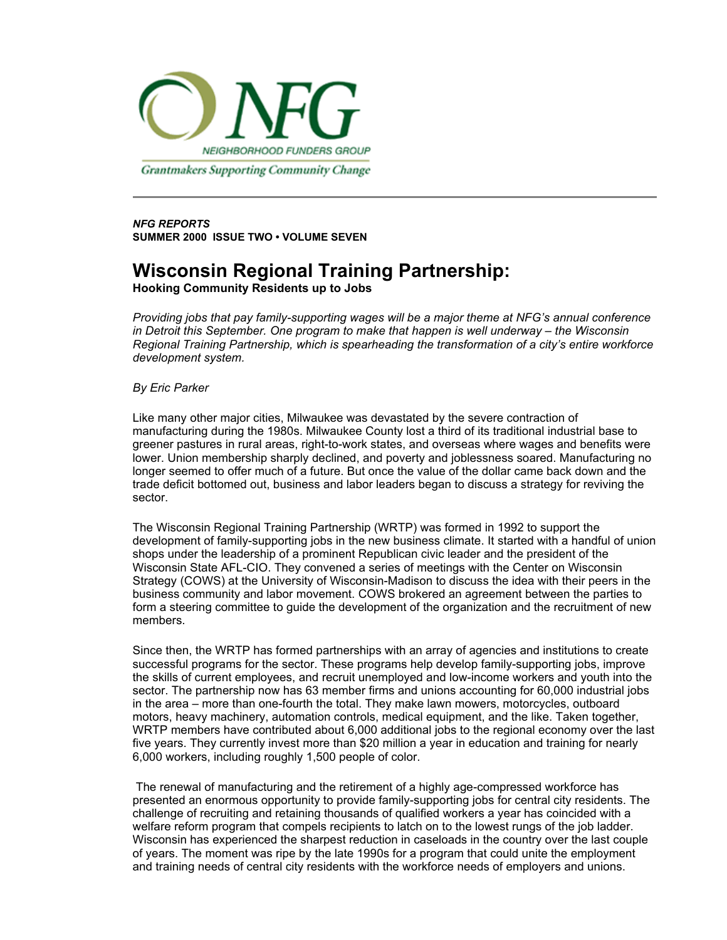

Grantmakers Supporting Community Change

*NFG REPORTS* **SUMMER 2000 ISSUE TWO • VOLUME SEVEN**

## **Wisconsin Regional Training Partnership:**

**Hooking Community Residents up to Jobs**

*Providing jobs that pay family-supporting wages will be a major theme at NFG's annual conference in Detroit this September. One program to make that happen is well underway – the Wisconsin Regional Training Partnership, which is spearheading the transformation of a city's entire workforce development system.*

## *By Eric Parker*

Like many other major cities, Milwaukee was devastated by the severe contraction of manufacturing during the 1980s. Milwaukee County lost a third of its traditional industrial base to greener pastures in rural areas, right-to-work states, and overseas where wages and benefits were lower. Union membership sharply declined, and poverty and joblessness soared. Manufacturing no longer seemed to offer much of a future. But once the value of the dollar came back down and the trade deficit bottomed out, business and labor leaders began to discuss a strategy for reviving the sector.

The Wisconsin Regional Training Partnership (WRTP) was formed in 1992 to support the development of family-supporting jobs in the new business climate. It started with a handful of union shops under the leadership of a prominent Republican civic leader and the president of the Wisconsin State AFL-CIO. They convened a series of meetings with the Center on Wisconsin Strategy (COWS) at the University of Wisconsin-Madison to discuss the idea with their peers in the business community and labor movement. COWS brokered an agreement between the parties to form a steering committee to guide the development of the organization and the recruitment of new members.

Since then, the WRTP has formed partnerships with an array of agencies and institutions to create successful programs for the sector. These programs help develop family-supporting jobs, improve the skills of current employees, and recruit unemployed and low-income workers and youth into the sector. The partnership now has 63 member firms and unions accounting for 60,000 industrial jobs in the area – more than one-fourth the total. They make lawn mowers, motorcycles, outboard motors, heavy machinery, automation controls, medical equipment, and the like. Taken together, WRTP members have contributed about 6,000 additional jobs to the regional economy over the last five years. They currently invest more than \$20 million a year in education and training for nearly 6,000 workers, including roughly 1,500 people of color.

 The renewal of manufacturing and the retirement of a highly age-compressed workforce has presented an enormous opportunity to provide family-supporting jobs for central city residents. The challenge of recruiting and retaining thousands of qualified workers a year has coincided with a welfare reform program that compels recipients to latch on to the lowest rungs of the job ladder. Wisconsin has experienced the sharpest reduction in caseloads in the country over the last couple of years. The moment was ripe by the late 1990s for a program that could unite the employment and training needs of central city residents with the workforce needs of employers and unions.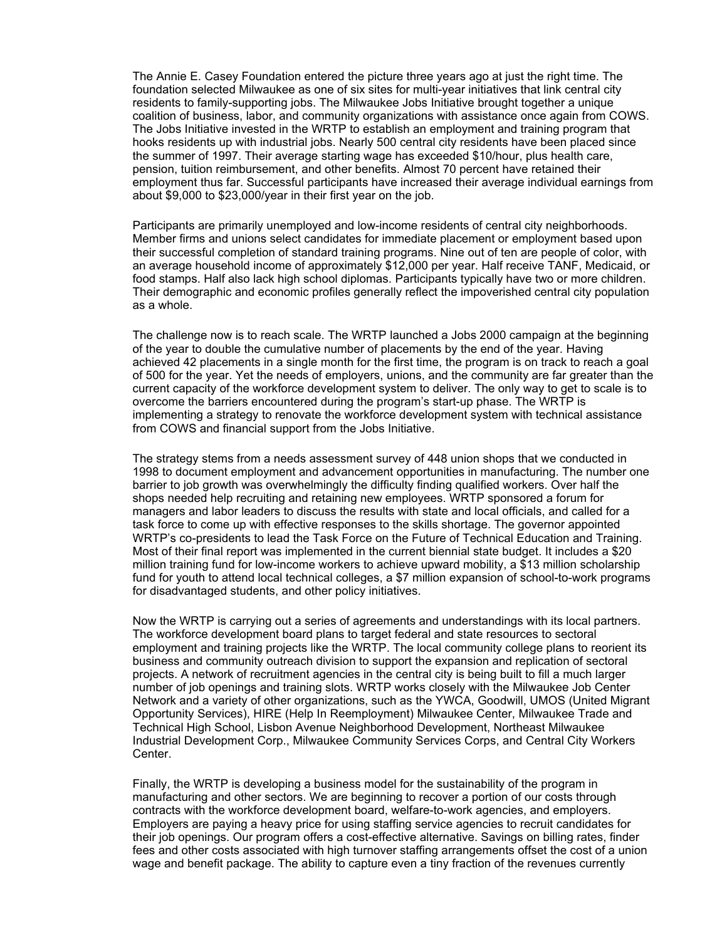The Annie E. Casey Foundation entered the picture three years ago at just the right time. The foundation selected Milwaukee as one of six sites for multi-year initiatives that link central city residents to family-supporting jobs. The Milwaukee Jobs Initiative brought together a unique coalition of business, labor, and community organizations with assistance once again from COWS. The Jobs Initiative invested in the WRTP to establish an employment and training program that hooks residents up with industrial jobs. Nearly 500 central city residents have been placed since the summer of 1997. Their average starting wage has exceeded \$10/hour, plus health care, pension, tuition reimbursement, and other benefits. Almost 70 percent have retained their employment thus far. Successful participants have increased their average individual earnings from about \$9,000 to \$23,000/year in their first year on the job.

Participants are primarily unemployed and low-income residents of central city neighborhoods. Member firms and unions select candidates for immediate placement or employment based upon their successful completion of standard training programs. Nine out of ten are people of color, with an average household income of approximately \$12,000 per year. Half receive TANF, Medicaid, or food stamps. Half also lack high school diplomas. Participants typically have two or more children. Their demographic and economic profiles generally reflect the impoverished central city population as a whole.

The challenge now is to reach scale. The WRTP launched a Jobs 2000 campaign at the beginning of the year to double the cumulative number of placements by the end of the year. Having achieved 42 placements in a single month for the first time, the program is on track to reach a goal of 500 for the year. Yet the needs of employers, unions, and the community are far greater than the current capacity of the workforce development system to deliver. The only way to get to scale is to overcome the barriers encountered during the program's start-up phase. The WRTP is implementing a strategy to renovate the workforce development system with technical assistance from COWS and financial support from the Jobs Initiative.

The strategy stems from a needs assessment survey of 448 union shops that we conducted in 1998 to document employment and advancement opportunities in manufacturing. The number one barrier to job growth was overwhelmingly the difficulty finding qualified workers. Over half the shops needed help recruiting and retaining new employees. WRTP sponsored a forum for managers and labor leaders to discuss the results with state and local officials, and called for a task force to come up with effective responses to the skills shortage. The governor appointed WRTP's co-presidents to lead the Task Force on the Future of Technical Education and Training. Most of their final report was implemented in the current biennial state budget. It includes a \$20 million training fund for low-income workers to achieve upward mobility, a \$13 million scholarship fund for youth to attend local technical colleges, a \$7 million expansion of school-to-work programs for disadvantaged students, and other policy initiatives.

Now the WRTP is carrying out a series of agreements and understandings with its local partners. The workforce development board plans to target federal and state resources to sectoral employment and training projects like the WRTP. The local community college plans to reorient its business and community outreach division to support the expansion and replication of sectoral projects. A network of recruitment agencies in the central city is being built to fill a much larger number of job openings and training slots. WRTP works closely with the Milwaukee Job Center Network and a variety of other organizations, such as the YWCA, Goodwill, UMOS (United Migrant Opportunity Services), HIRE (Help In Reemployment) Milwaukee Center, Milwaukee Trade and Technical High School, Lisbon Avenue Neighborhood Development, Northeast Milwaukee Industrial Development Corp., Milwaukee Community Services Corps, and Central City Workers **Center** 

Finally, the WRTP is developing a business model for the sustainability of the program in manufacturing and other sectors. We are beginning to recover a portion of our costs through contracts with the workforce development board, welfare-to-work agencies, and employers. Employers are paying a heavy price for using staffing service agencies to recruit candidates for their job openings. Our program offers a cost-effective alternative. Savings on billing rates, finder fees and other costs associated with high turnover staffing arrangements offset the cost of a union wage and benefit package. The ability to capture even a tiny fraction of the revenues currently